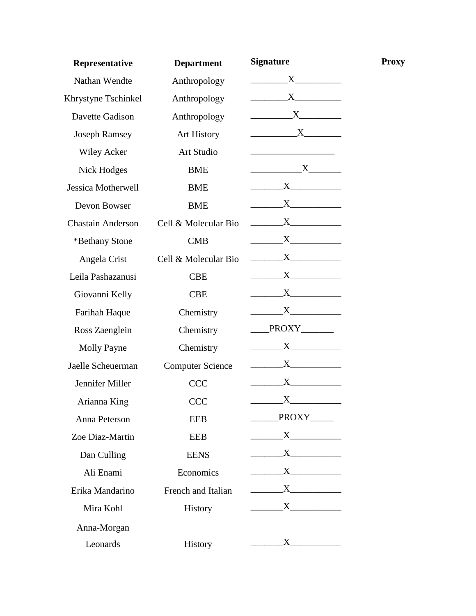| <b>Department</b>       | <b>Signature</b>                                                                                                                                                                                                                                                                                                                                                                                                                                                                | <b>Proxy</b>                       |
|-------------------------|---------------------------------------------------------------------------------------------------------------------------------------------------------------------------------------------------------------------------------------------------------------------------------------------------------------------------------------------------------------------------------------------------------------------------------------------------------------------------------|------------------------------------|
| Anthropology            | $X$ <sub>1</sub>                                                                                                                                                                                                                                                                                                                                                                                                                                                                |                                    |
| Anthropology            | $\mathbf{X}$                                                                                                                                                                                                                                                                                                                                                                                                                                                                    |                                    |
| Anthropology            | $X$ <sub>1</sub>                                                                                                                                                                                                                                                                                                                                                                                                                                                                |                                    |
| <b>Art History</b>      | $\mathbf{X}$                                                                                                                                                                                                                                                                                                                                                                                                                                                                    |                                    |
| Art Studio              | <u> 1989 - John Stein, mars and de Branden</u>                                                                                                                                                                                                                                                                                                                                                                                                                                  |                                    |
| BME                     | $\begin{array}{c}\nX\n\end{array}$                                                                                                                                                                                                                                                                                                                                                                                                                                              |                                    |
| BME                     | $\mathbf{X}$ and $\mathbf{X}$ and $\mathbf{X}$ and $\mathbf{X}$ and $\mathbf{X}$ and $\mathbf{X}$ and $\mathbf{X}$ and $\mathbf{X}$ and $\mathbf{X}$ and $\mathbf{X}$ and $\mathbf{X}$ and $\mathbf{X}$ and $\mathbf{X}$ and $\mathbf{X}$ and $\mathbf{X}$ and $\mathbf{X}$ and $\mathbf{X}$ and                                                                                                                                                                                |                                    |
| <b>BME</b>              |                                                                                                                                                                                                                                                                                                                                                                                                                                                                                 |                                    |
| Cell & Molecular Bio    |                                                                                                                                                                                                                                                                                                                                                                                                                                                                                 |                                    |
| <b>CMB</b>              | $\mathbf{X}$                                                                                                                                                                                                                                                                                                                                                                                                                                                                    |                                    |
| Cell & Molecular Bio    | $\begin{array}{c}\nX\n\end{array}$                                                                                                                                                                                                                                                                                                                                                                                                                                              |                                    |
| <b>CBE</b>              | $X$ and $X$ and $X$ and $X$ and $X$ and $X$ and $X$ and $X$ and $X$ and $X$ and $X$ and $X$ and $X$ and $X$ and $X$ and $X$ and $X$ and $X$ and $X$ and $X$ and $X$ and $X$ and $X$ and $X$ and $X$ and $X$ and $X$ and $X$ a                                                                                                                                                                                                                                                   |                                    |
| <b>CBE</b>              | $X$ and $X$                                                                                                                                                                                                                                                                                                                                                                                                                                                                     |                                    |
| Chemistry               |                                                                                                                                                                                                                                                                                                                                                                                                                                                                                 |                                    |
| Chemistry               | PROXY                                                                                                                                                                                                                                                                                                                                                                                                                                                                           |                                    |
| Chemistry               | $\overline{\phantom{a}}$                                                                                                                                                                                                                                                                                                                                                                                                                                                        |                                    |
| <b>Computer Science</b> | $\mathbf{X}$                                                                                                                                                                                                                                                                                                                                                                                                                                                                    |                                    |
| <b>CCC</b>              |                                                                                                                                                                                                                                                                                                                                                                                                                                                                                 |                                    |
| <b>CCC</b>              | X                                                                                                                                                                                                                                                                                                                                                                                                                                                                               |                                    |
| <b>EEB</b>              | PROXY_____                                                                                                                                                                                                                                                                                                                                                                                                                                                                      |                                    |
| EEB                     |                                                                                                                                                                                                                                                                                                                                                                                                                                                                                 |                                    |
| <b>EENS</b>             | $\overline{X}$                                                                                                                                                                                                                                                                                                                                                                                                                                                                  |                                    |
| Economics               |                                                                                                                                                                                                                                                                                                                                                                                                                                                                                 |                                    |
| French and Italian      | $\overline{\text{X}}$                                                                                                                                                                                                                                                                                                                                                                                                                                                           |                                    |
| History                 | $\overline{\phantom{a}}$ $\overline{\phantom{a}}$ $\overline{\phantom{a}}$ $\overline{\phantom{a}}$ $\overline{\phantom{a}}$ $\overline{\phantom{a}}$ $\overline{\phantom{a}}$ $\overline{\phantom{a}}$ $\overline{\phantom{a}}$ $\overline{\phantom{a}}$ $\overline{\phantom{a}}$ $\overline{\phantom{a}}$ $\overline{\phantom{a}}$ $\overline{\phantom{a}}$ $\overline{\phantom{a}}$ $\overline{\phantom{a}}$ $\overline{\phantom{a}}$ $\overline{\phantom{a}}$ $\overline{\$ |                                    |
|                         |                                                                                                                                                                                                                                                                                                                                                                                                                                                                                 |                                    |
| History                 |                                                                                                                                                                                                                                                                                                                                                                                                                                                                                 |                                    |
|                         |                                                                                                                                                                                                                                                                                                                                                                                                                                                                                 | $\begin{array}{c}\nX\n\end{array}$ |